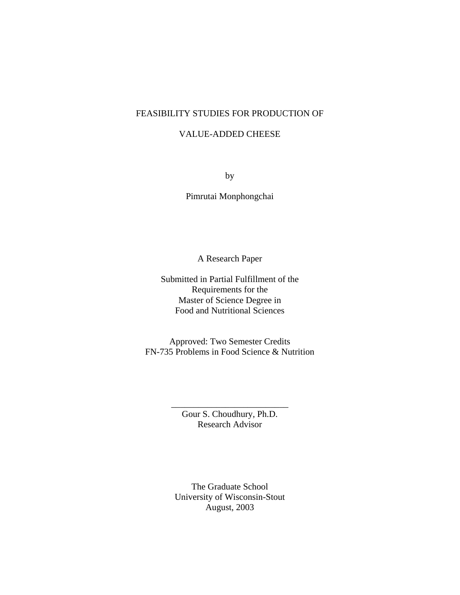## FEASIBILITY STUDIES FOR PRODUCTION OF

# VALUE-ADDED CHEESE

by

Pimrutai Monphongchai

A Research Paper

Submitted in Partial Fulfillment of the Requirements for the Master of Science Degree in Food and Nutritional Sciences

Approved: Two Semester Credits FN-735 Problems in Food Science & Nutrition

> Gour S. Choudhury, Ph.D. Research Advisor

\_\_\_\_\_\_\_\_\_\_\_\_\_\_\_\_\_\_\_\_\_\_\_\_\_\_

The Graduate School University of Wisconsin-Stout August, 2003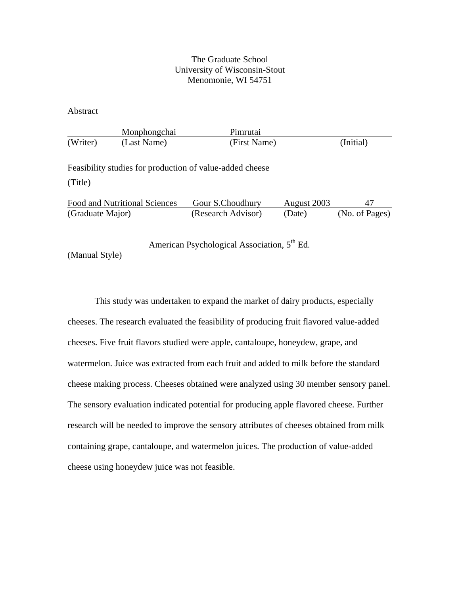## The Graduate School University of Wisconsin-Stout Menomonie, WI 54751

Abstract

|                                                       | Monphongchai                         | Pimrutai                                                 |             |                |
|-------------------------------------------------------|--------------------------------------|----------------------------------------------------------|-------------|----------------|
| (Writer)                                              | (Last Name)                          | (First Name)                                             |             | (Initial)      |
| (Title)                                               |                                      | Feasibility studies for production of value-added cheese |             |                |
|                                                       | <b>Food and Nutritional Sciences</b> | Gour S.Choudhury                                         | August 2003 | 47             |
| (Graduate Major)                                      |                                      | (Research Advisor)                                       | (Date)      | (No. of Pages) |
|                                                       |                                      | American Psychological Association, 5 <sup>th</sup> Ed.  |             |                |
| $(\mathbf{M}_{\text{on}})$ $(\mathbf{M}_{\text{on}})$ |                                      |                                                          |             |                |

(Manual Style)

This study was undertaken to expand the market of dairy products, especially cheeses. The research evaluated the feasibility of producing fruit flavored value-added cheeses. Five fruit flavors studied were apple, cantaloupe, honeydew, grape, and watermelon. Juice was extracted from each fruit and added to milk before the standard cheese making process. Cheeses obtained were analyzed using 30 member sensory panel. The sensory evaluation indicated potential for producing apple flavored cheese. Further research will be needed to improve the sensory attributes of cheeses obtained from milk containing grape, cantaloupe, and watermelon juices. The production of value-added cheese using honeydew juice was not feasible.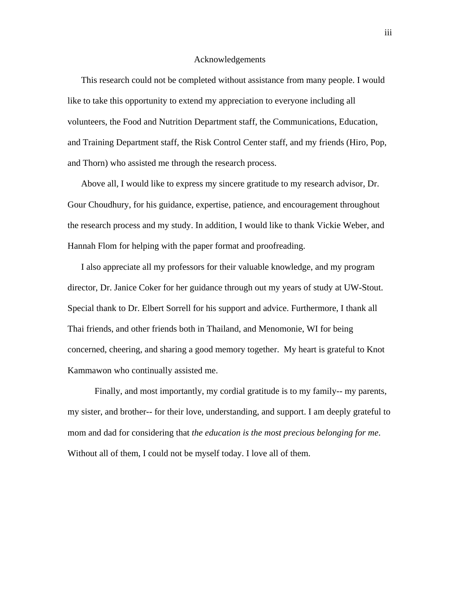#### Acknowledgements

This research could not be completed without assistance from many people. I would like to take this opportunity to extend my appreciation to everyone including all volunteers, the Food and Nutrition Department staff, the Communications, Education, and Training Department staff, the Risk Control Center staff, and my friends (Hiro, Pop, and Thorn) who assisted me through the research process.

Above all, I would like to express my sincere gratitude to my research advisor, Dr. Gour Choudhury, for his guidance, expertise, patience, and encouragement throughout the research process and my study. In addition, I would like to thank Vickie Weber, and Hannah Flom for helping with the paper format and proofreading.

I also appreciate all my professors for their valuable knowledge, and my program director, Dr. Janice Coker for her guidance through out my years of study at UW-Stout. Special thank to Dr. Elbert Sorrell for his support and advice. Furthermore, I thank all Thai friends, and other friends both in Thailand, and Menomonie, WI for being concerned, cheering, and sharing a good memory together. My heart is grateful to Knot Kammawon who continually assisted me.

Finally, and most importantly, my cordial gratitude is to my family-- my parents, my sister, and brother-- for their love, understanding, and support. I am deeply grateful to mom and dad for considering that *the education is the most precious belonging for me*. Without all of them, I could not be myself today. I love all of them.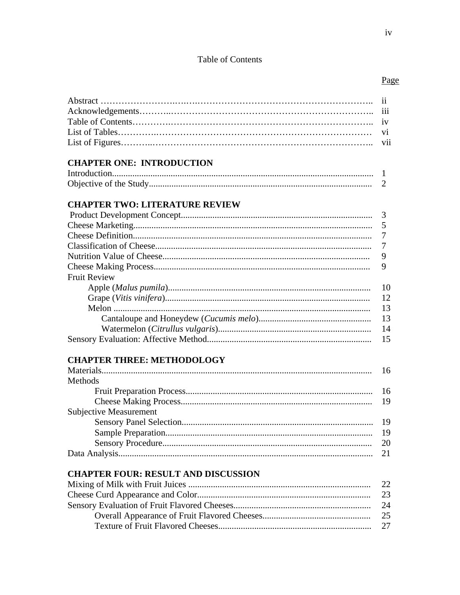# Table of Contents

# Page

|                                            | $\overline{\mathbf{u}}$ |
|--------------------------------------------|-------------------------|
|                                            | iii                     |
|                                            | iv                      |
|                                            | vi                      |
|                                            | vii                     |
|                                            |                         |
| <b>CHAPTER ONE: INTRODUCTION</b>           |                         |
|                                            |                         |
|                                            | 2                       |
| <b>CHAPTER TWO: LITERATURE REVIEW</b>      |                         |
|                                            | 3                       |
|                                            |                         |
|                                            | 5                       |
|                                            | 7                       |
|                                            | $\overline{7}$          |
|                                            | 9                       |
|                                            | 9                       |
| <b>Fruit Review</b>                        |                         |
|                                            | 10                      |
|                                            | 12                      |
|                                            | 13                      |
|                                            | 13                      |
|                                            | 14                      |
|                                            | 15                      |
| <b>CHAPTER THREE: METHODOLOGY</b>          |                         |
|                                            | 16                      |
| Methods                                    |                         |
|                                            | 16                      |
|                                            | 19                      |
| <b>Subjective Measurement</b>              |                         |
|                                            | 19                      |
|                                            |                         |
|                                            | 19                      |
|                                            | 20                      |
|                                            | 21                      |
| <b>CHAPTER FOUR: RESULT AND DISCUSSION</b> |                         |
|                                            | 22                      |
|                                            | 23                      |
|                                            | 24                      |
|                                            | 25                      |
|                                            | 27                      |
|                                            |                         |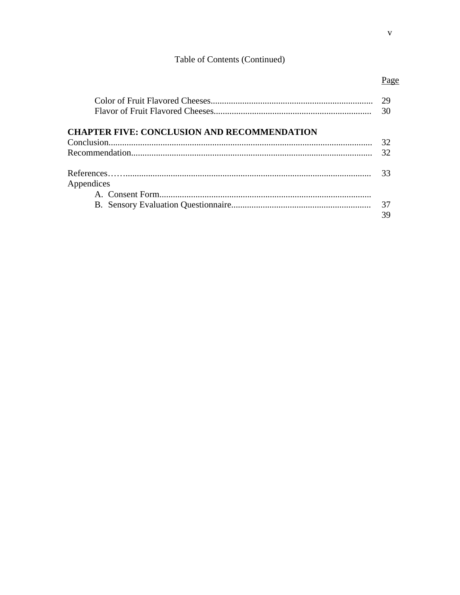# Table of Contents (Continued)

|                                                    | 29<br>30 |  |
|----------------------------------------------------|----------|--|
| <b>CHAPTER FIVE: CONCLUSION AND RECOMMENDATION</b> |          |  |
|                                                    | 32       |  |
|                                                    |          |  |
| Appendices                                         |          |  |
|                                                    |          |  |
|                                                    |          |  |

| Pa<br>ջ<br>e |
|--------------|

37 39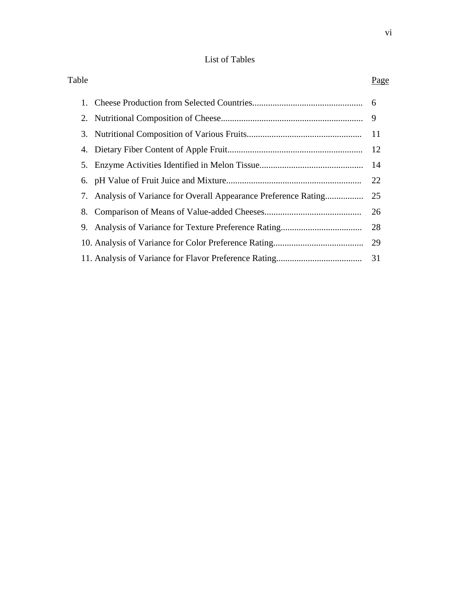# List of Tables

| Table |                                                                  | Page          |
|-------|------------------------------------------------------------------|---------------|
|       |                                                                  |               |
|       |                                                                  | 9             |
|       |                                                                  | <sup>11</sup> |
|       |                                                                  | - 12          |
|       |                                                                  |               |
|       |                                                                  | 22            |
|       | 7. Analysis of Variance for Overall Appearance Preference Rating | 25            |
|       |                                                                  | 26            |
|       |                                                                  | 28            |
|       |                                                                  | 29            |
|       |                                                                  | 31            |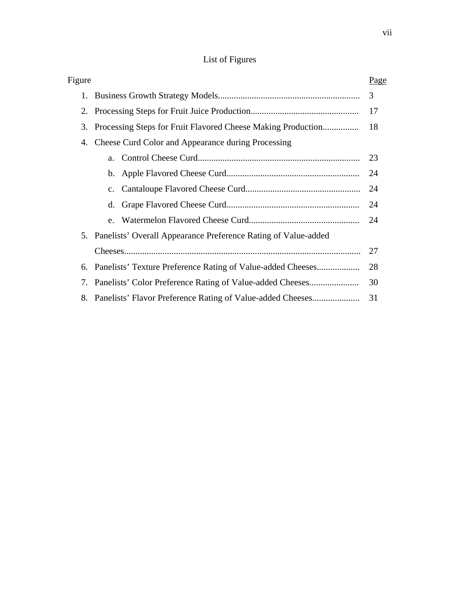# List of Figures

| Figure |                                                                   | Page |
|--------|-------------------------------------------------------------------|------|
|        |                                                                   | 3    |
|        |                                                                   | 17   |
|        | 3. Processing Steps for Fruit Flavored Cheese Making Production   | 18   |
|        | 4. Cheese Curd Color and Appearance during Processing             |      |
|        | a.                                                                | 23   |
|        |                                                                   | 24   |
|        |                                                                   | 24   |
|        | d.                                                                | 24   |
|        |                                                                   | 24   |
|        | 5. Panelists' Overall Appearance Preference Rating of Value-added |      |
|        |                                                                   | 27   |
|        | 6. Panelists' Texture Preference Rating of Value-added Cheeses    | 28   |
|        | 7. Panelists' Color Preference Rating of Value-added Cheeses      | 30   |
|        | 8. Panelists' Flavor Preference Rating of Value-added Cheeses     | 31   |
|        |                                                                   |      |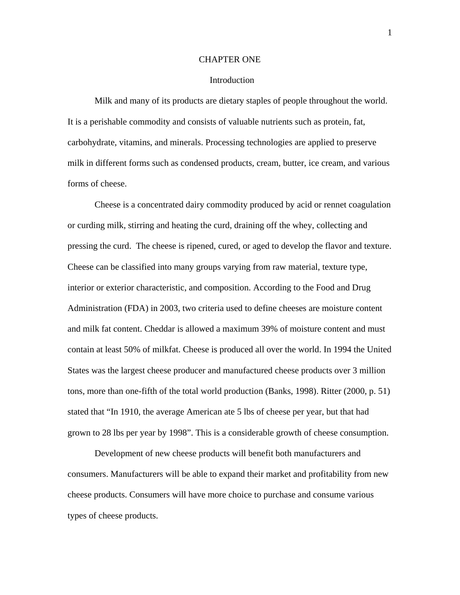#### CHAPTER ONE

#### Introduction

Milk and many of its products are dietary staples of people throughout the world. It is a perishable commodity and consists of valuable nutrients such as protein, fat, carbohydrate, vitamins, and minerals. Processing technologies are applied to preserve milk in different forms such as condensed products, cream, butter, ice cream, and various forms of cheese.

Cheese is a concentrated dairy commodity produced by acid or rennet coagulation or curding milk, stirring and heating the curd, draining off the whey, collecting and pressing the curd. The cheese is ripened, cured, or aged to develop the flavor and texture. Cheese can be classified into many groups varying from raw material, texture type, interior or exterior characteristic, and composition. According to the Food and Drug Administration (FDA) in 2003, two criteria used to define cheeses are moisture content and milk fat content. Cheddar is allowed a maximum 39% of moisture content and must contain at least 50% of milkfat. Cheese is produced all over the world. In 1994 the United States was the largest cheese producer and manufactured cheese products over 3 million tons, more than one-fifth of the total world production (Banks, 1998). Ritter (2000, p. 51) stated that "In 1910, the average American ate 5 lbs of cheese per year, but that had grown to 28 lbs per year by 1998". This is a considerable growth of cheese consumption.

Development of new cheese products will benefit both manufacturers and consumers. Manufacturers will be able to expand their market and profitability from new cheese products. Consumers will have more choice to purchase and consume various types of cheese products.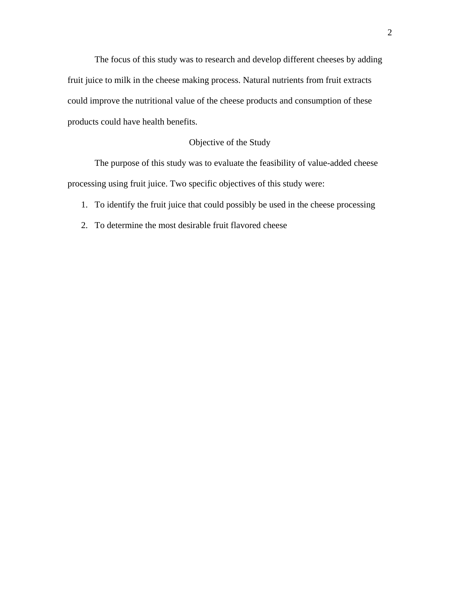The focus of this study was to research and develop different cheeses by adding fruit juice to milk in the cheese making process. Natural nutrients from fruit extracts could improve the nutritional value of the cheese products and consumption of these products could have health benefits.

## Objective of the Study

The purpose of this study was to evaluate the feasibility of value-added cheese processing using fruit juice. Two specific objectives of this study were:

- 1. To identify the fruit juice that could possibly be used in the cheese processing
- 2. To determine the most desirable fruit flavored cheese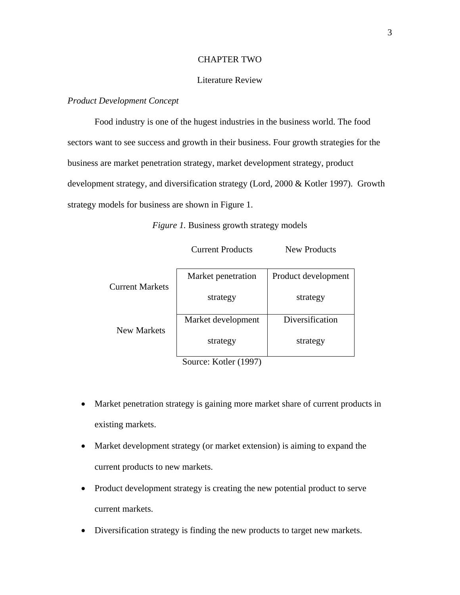#### CHAPTER TWO

## Literature Review

## *Product Development Concept*

Food industry is one of the hugest industries in the business world. The food sectors want to see success and growth in their business. Four growth strategies for the business are market penetration strategy, market development strategy, product development strategy, and diversification strategy (Lord, 2000 & Kotler 1997). Growth strategy models for business are shown in Figure 1.

*Figure 1.* Business growth strategy models

| <b>Current Products</b> | <b>New Products</b> |
|-------------------------|---------------------|
|                         |                     |

|                        | Market penetration | Product development |  |
|------------------------|--------------------|---------------------|--|
| <b>Current Markets</b> | strategy           | strategy            |  |
|                        | Market development | Diversification     |  |
| New Markets            | strategy           | strategy            |  |

Source: Kotler (1997)

- Market penetration strategy is gaining more market share of current products in existing markets.
- Market development strategy (or market extension) is aiming to expand the current products to new markets.
- Product development strategy is creating the new potential product to serve current markets.
- Diversification strategy is finding the new products to target new markets.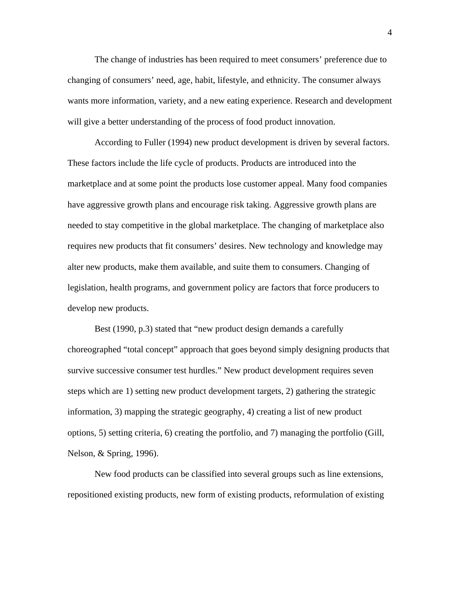The change of industries has been required to meet consumers' preference due to changing of consumers' need, age, habit, lifestyle, and ethnicity. The consumer always wants more information, variety, and a new eating experience. Research and development will give a better understanding of the process of food product innovation.

According to Fuller (1994) new product development is driven by several factors. These factors include the life cycle of products. Products are introduced into the marketplace and at some point the products lose customer appeal. Many food companies have aggressive growth plans and encourage risk taking. Aggressive growth plans are needed to stay competitive in the global marketplace. The changing of marketplace also requires new products that fit consumers' desires. New technology and knowledge may alter new products, make them available, and suite them to consumers. Changing of legislation, health programs, and government policy are factors that force producers to develop new products.

Best (1990, p.3) stated that "new product design demands a carefully choreographed "total concept" approach that goes beyond simply designing products that survive successive consumer test hurdles." New product development requires seven steps which are 1) setting new product development targets, 2) gathering the strategic information, 3) mapping the strategic geography, 4) creating a list of new product options, 5) setting criteria, 6) creating the portfolio, and 7) managing the portfolio (Gill, Nelson, & Spring, 1996).

New food products can be classified into several groups such as line extensions, repositioned existing products, new form of existing products, reformulation of existing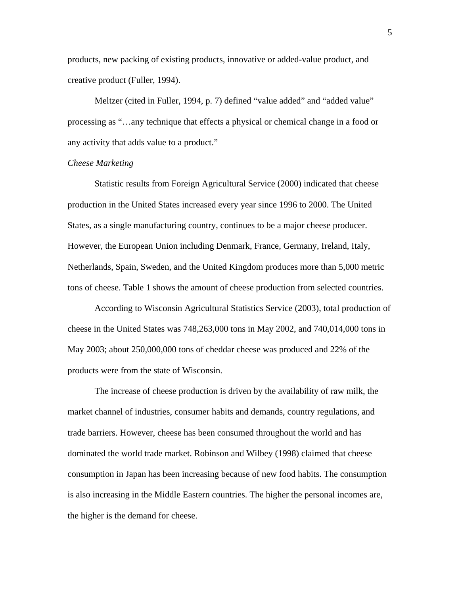products, new packing of existing products, innovative or added-value product, and creative product (Fuller, 1994).

Meltzer (cited in Fuller, 1994, p. 7) defined "value added" and "added value" processing as "…any technique that effects a physical or chemical change in a food or any activity that adds value to a product."

#### *Cheese Marketing*

 Statistic results from Foreign Agricultural Service (2000) indicated that cheese production in the United States increased every year since 1996 to 2000. The United States, as a single manufacturing country, continues to be a major cheese producer. However, the European Union including Denmark, France, Germany, Ireland, Italy, Netherlands, Spain, Sweden, and the United Kingdom produces more than 5,000 metric tons of cheese. Table 1 shows the amount of cheese production from selected countries.

 According to Wisconsin Agricultural Statistics Service (2003), total production of cheese in the United States was 748,263,000 tons in May 2002, and 740,014,000 tons in May 2003; about 250,000,000 tons of cheddar cheese was produced and 22% of the products were from the state of Wisconsin.

 The increase of cheese production is driven by the availability of raw milk, the market channel of industries, consumer habits and demands, country regulations, and trade barriers. However, cheese has been consumed throughout the world and has dominated the world trade market. Robinson and Wilbey (1998) claimed that cheese consumption in Japan has been increasing because of new food habits. The consumption is also increasing in the Middle Eastern countries. The higher the personal incomes are, the higher is the demand for cheese.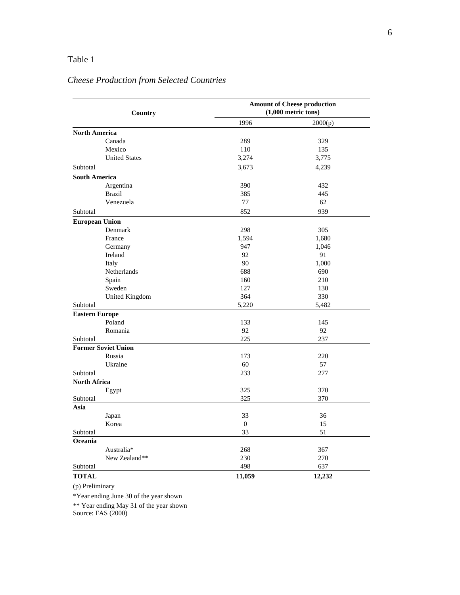# Table 1

# *Cheese Production from Selected Countries*

|                       | Country                    | <b>Amount of Cheese production</b><br>$(1,000$ metric tons) |         |  |  |
|-----------------------|----------------------------|-------------------------------------------------------------|---------|--|--|
|                       |                            | 1996                                                        | 2000(p) |  |  |
| <b>North America</b>  |                            |                                                             |         |  |  |
|                       | Canada                     | 289                                                         | 329     |  |  |
|                       | Mexico                     | 110                                                         | 135     |  |  |
|                       | <b>United States</b>       | 3,274                                                       | 3,775   |  |  |
| Subtotal              |                            | 3,673                                                       | 4,239   |  |  |
| <b>South America</b>  |                            |                                                             |         |  |  |
|                       | Argentina                  | 390                                                         | 432     |  |  |
|                       | <b>Brazil</b>              | 385                                                         | 445     |  |  |
|                       | Venezuela                  | 77                                                          | 62      |  |  |
| Subtotal              |                            | 852                                                         | 939     |  |  |
| <b>European Union</b> |                            |                                                             |         |  |  |
|                       | Denmark                    | 298                                                         | 305     |  |  |
|                       | France                     | 1,594                                                       | 1,680   |  |  |
|                       | Germany                    | 947                                                         | 1,046   |  |  |
|                       | Ireland                    | 92                                                          | 91      |  |  |
|                       | Italy                      | 90                                                          | 1,000   |  |  |
|                       | Netherlands                | 688                                                         | 690     |  |  |
|                       | Spain                      | 160                                                         | 210     |  |  |
|                       | Sweden                     | 127                                                         | 130     |  |  |
|                       | <b>United Kingdom</b>      | 364                                                         | 330     |  |  |
| Subtotal              |                            | 5,220                                                       | 5,482   |  |  |
| <b>Eastern Europe</b> |                            |                                                             |         |  |  |
|                       | Poland                     | 133                                                         | 145     |  |  |
|                       | Romania                    | 92                                                          | 92      |  |  |
| Subtotal              |                            | 225                                                         | 237     |  |  |
|                       | <b>Former Soviet Union</b> |                                                             |         |  |  |
|                       | Russia                     | 173                                                         | 220     |  |  |
|                       | Ukraine                    | 60                                                          | 57      |  |  |
| Subtotal              |                            | 233                                                         | 277     |  |  |
| <b>North Africa</b>   |                            |                                                             |         |  |  |
|                       | Egypt                      | 325                                                         | 370     |  |  |
| Subtotal              |                            | 325                                                         | 370     |  |  |
| Asia                  |                            |                                                             |         |  |  |
|                       | Japan                      | 33                                                          | 36      |  |  |
|                       | Korea                      | $\theta$                                                    | 15      |  |  |
| Subtotal              |                            | 33                                                          | 51      |  |  |
| Oceania               |                            |                                                             |         |  |  |
|                       | Australia*                 | 268                                                         | 367     |  |  |
|                       | New Zealand**              | 230                                                         | 270     |  |  |
| Subtotal              |                            | 498                                                         | 637     |  |  |
| <b>TOTAL</b>          |                            | 11,059                                                      | 12,232  |  |  |

(p) Preliminary

\*Year ending June 30 of the year shown

\*\* Year ending May 31 of the year shown

Source: FAS (2000)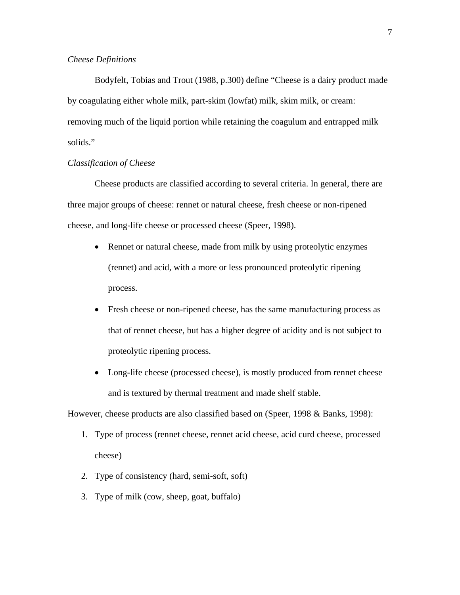#### *Cheese Definitions*

Bodyfelt, Tobias and Trout (1988, p.300) define "Cheese is a dairy product made by coagulating either whole milk, part-skim (lowfat) milk, skim milk, or cream: removing much of the liquid portion while retaining the coagulum and entrapped milk solids."

#### *Classification of Cheese*

 Cheese products are classified according to several criteria. In general, there are three major groups of cheese: rennet or natural cheese, fresh cheese or non-ripened cheese, and long-life cheese or processed cheese (Speer, 1998).

- Rennet or natural cheese, made from milk by using proteolytic enzymes (rennet) and acid, with a more or less pronounced proteolytic ripening process.
- Fresh cheese or non-ripened cheese, has the same manufacturing process as that of rennet cheese, but has a higher degree of acidity and is not subject to proteolytic ripening process.
- Long-life cheese (processed cheese), is mostly produced from rennet cheese and is textured by thermal treatment and made shelf stable.

However, cheese products are also classified based on (Speer, 1998 & Banks, 1998):

- 1. Type of process (rennet cheese, rennet acid cheese, acid curd cheese, processed cheese)
- 2. Type of consistency (hard, semi-soft, soft)
- 3. Type of milk (cow, sheep, goat, buffalo)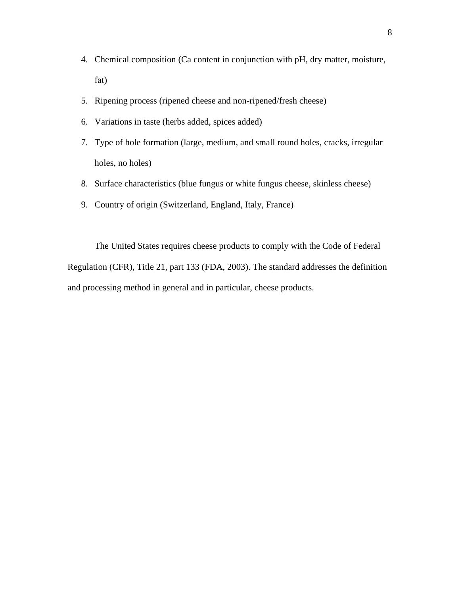- 4. Chemical composition (Ca content in conjunction with pH, dry matter, moisture, fat)
- 5. Ripening process (ripened cheese and non-ripened/fresh cheese)
- 6. Variations in taste (herbs added, spices added)
- 7. Type of hole formation (large, medium, and small round holes, cracks, irregular holes, no holes)
- 8. Surface characteristics (blue fungus or white fungus cheese, skinless cheese)
- 9. Country of origin (Switzerland, England, Italy, France)

The United States requires cheese products to comply with the Code of Federal Regulation (CFR), Title 21, part 133 (FDA, 2003). The standard addresses the definition and processing method in general and in particular, cheese products.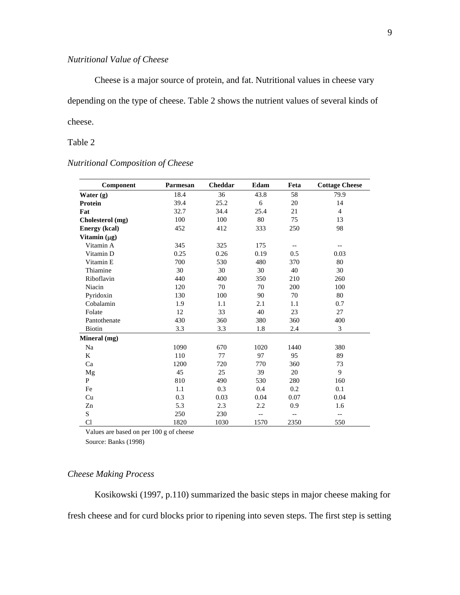# *Nutritional Value of Cheese*

 Cheese is a major source of protein, and fat. Nutritional values in cheese vary depending on the type of cheese. Table 2 shows the nutrient values of several kinds of cheese.

## Table 2

# *Nutritional Composition of Cheese*

| Component            | Parmesan | Cheddar | Edam | Feta                     | <b>Cottage Cheese</b>    |
|----------------------|----------|---------|------|--------------------------|--------------------------|
| Water $(g)$          | 18.4     | 36      | 43.8 | 58                       | 79.9                     |
| <b>Protein</b>       | 39.4     | 25.2    | 6    | 20                       | 14                       |
| Fat                  | 32.7     | 34.4    | 25.4 | 21                       | $\overline{4}$           |
| Cholesterol (mg)     | 100      | 100     | 80   | 75                       | 13                       |
| <b>Energy</b> (kcal) | 452      | 412     | 333  | 250                      | 98                       |
| Vitamin $(\mu g)$    |          |         |      |                          |                          |
| Vitamin A            | 345      | 325     | 175  | $\overline{\phantom{a}}$ | $\overline{\phantom{m}}$ |
| Vitamin D            | 0.25     | 0.26    | 0.19 | 0.5                      | 0.03                     |
| Vitamin E            | 700      | 530     | 480  | 370                      | 80                       |
| Thiamine             | 30       | 30      | 30   | 40                       | 30                       |
| Riboflavin           | 440      | 400     | 350  | 210                      | 260                      |
| Niacin               | 120      | 70      | 70   | 200                      | 100                      |
| Pyridoxin            | 130      | 100     | 90   | 70                       | 80                       |
| Cobalamin            | 1.9      | 1.1     | 2.1  | 1.1                      | 0.7                      |
| Folate               | 12       | 33      | 40   | 23                       | 27                       |
| Pantothenate         | 430      | 360     | 380  | 360                      | 400                      |
| Biotin               | 3.3      | 3.3     | 1.8  | 2.4                      | 3                        |
| Mineral (mg)         |          |         |      |                          |                          |
| Na                   | 1090     | 670     | 1020 | 1440                     | 380                      |
| K                    | 110      | 77      | 97   | 95                       | 89                       |
| Ca                   | 1200     | 720     | 770  | 360                      | 73                       |
| Mg                   | 45       | 25      | 39   | 20                       | $\mathbf Q$              |
| $\mathbf{P}$         | 810      | 490     | 530  | 280                      | 160                      |
| Fe                   | 1.1      | 0.3     | 0.4  | 0.2                      | 0.1                      |
| Cu                   | 0.3      | 0.03    | 0.04 | $0.07\,$                 | 0.04                     |
| Zn                   | 5.3      | 2.3     | 2.2  | 0.9                      | 1.6                      |
| S                    | 250      | 230     | $-$  | $-$                      | $- -$                    |
| Cl                   | 1820     | 1030    | 1570 | 2350                     | 550                      |

Values are based on per 100 g of cheese

Source: Banks (1998)

## *Cheese Making Process*

Kosikowski (1997, p.110) summarized the basic steps in major cheese making for fresh cheese and for curd blocks prior to ripening into seven steps. The first step is setting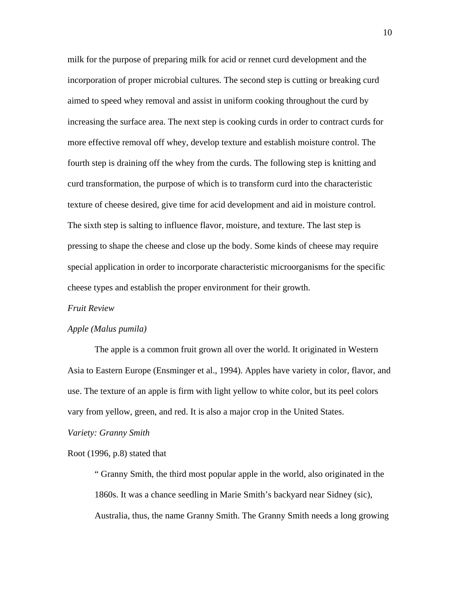milk for the purpose of preparing milk for acid or rennet curd development and the incorporation of proper microbial cultures. The second step is cutting or breaking curd aimed to speed whey removal and assist in uniform cooking throughout the curd by increasing the surface area. The next step is cooking curds in order to contract curds for more effective removal off whey, develop texture and establish moisture control. The fourth step is draining off the whey from the curds. The following step is knitting and curd transformation, the purpose of which is to transform curd into the characteristic texture of cheese desired, give time for acid development and aid in moisture control. The sixth step is salting to influence flavor, moisture, and texture. The last step is pressing to shape the cheese and close up the body. Some kinds of cheese may require special application in order to incorporate characteristic microorganisms for the specific cheese types and establish the proper environment for their growth.

#### *Fruit Review*

#### *Apple (Malus pumila)*

 The apple is a common fruit grown all over the world. It originated in Western Asia to Eastern Europe (Ensminger et al., 1994). Apples have variety in color, flavor, and use. The texture of an apple is firm with light yellow to white color, but its peel colors vary from yellow, green, and red. It is also a major crop in the United States.

#### *Variety: Granny Smith*

#### Root (1996, p.8) stated that

" Granny Smith, the third most popular apple in the world, also originated in the 1860s. It was a chance seedling in Marie Smith's backyard near Sidney (sic), Australia, thus, the name Granny Smith. The Granny Smith needs a long growing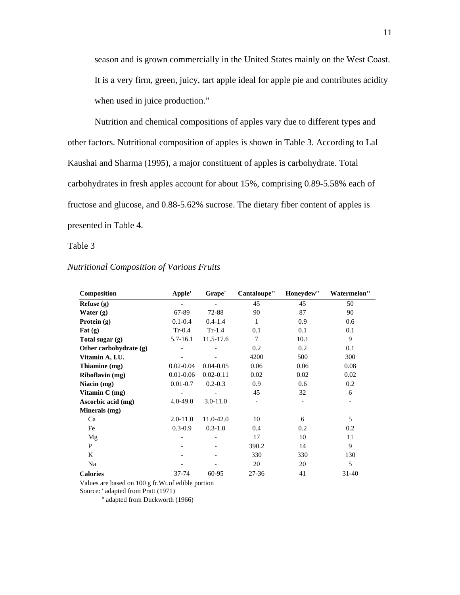season and is grown commercially in the United States mainly on the West Coast. It is a very firm, green, juicy, tart apple ideal for apple pie and contributes acidity when used in juice production."

 Nutrition and chemical compositions of apples vary due to different types and other factors. Nutritional composition of apples is shown in Table 3. According to Lal Kaushai and Sharma (1995), a major constituent of apples is carbohydrate. Total carbohydrates in fresh apples account for about 15%, comprising 0.89-5.58% each of fructose and glucose, and 0.88-5.62% sucrose. The dietary fiber content of apples is presented in Table 4.

Table 3

| Composition            | Apple'        | Grape'        | Cantaloupe" | Honeydew" | Watermelon" |
|------------------------|---------------|---------------|-------------|-----------|-------------|
| Refuse $(g)$           |               |               | 45          | 45        | 50          |
| Water $(g)$            | 67-89         | 72-88         | 90          | 87        | 90          |
| Protein $(g)$          | $0.1 - 0.4$   | $0.4 - 1.4$   | 1           | 0.9       | 0.6         |
| Fat $(g)$              | $Tr-0.4$      | $Tr-1.4$      | 0.1         | 0.1       | 0.1         |
| Total sugar $(g)$      | $5.7 - 16.1$  | 11.5-17.6     | 7           | 10.1      | 9           |
| Other carbohydrate (g) |               |               | 0.2         | 0.2       | 0.1         |
| Vitamin A, I.U.        |               |               | 4200        | 500       | 300         |
| Thiamine (mg)          | $0.02 - 0.04$ | $0.04 - 0.05$ | 0.06        | 0.06      | 0.08        |
| Riboflavin (mg)        | $0.01 - 0.06$ | $0.02 - 0.11$ | 0.02        | 0.02      | 0.02        |
| Niacin (mg)            | $0.01 - 0.7$  | $0.2 - 0.3$   | 0.9         | 0.6       | 0.2         |
| Vitamin $C$ (mg)       |               |               | 45          | 32        | 6           |
| Ascorbic acid (mg)     | $4.0 - 49.0$  | $3.0 - 11.0$  |             |           |             |
| Minerals (mg)          |               |               |             |           |             |
| Ca                     | $2.0 - 11.0$  | 11.0-42.0     | 10          | 6         | 5           |
| Fe                     | $0.3 - 0.9$   | $0.3 - 1.0$   | 0.4         | 0.2       | 0.2         |
| Mg                     |               |               | 17          | 10        | 11          |
| P                      |               |               | 390.2       | 14        | 9           |
| K                      |               |               | 330         | 330       | 130         |
| Na                     |               |               | 20          | 20        | 5           |
| <b>Calories</b>        | 37-74         | 60-95         | 27-36       | 41        | $31 - 40$   |

#### *Nutritional Composition of Various Fruits*

Values are based on 100 g fr.Wt.of edible portion

Source: ' adapted from Pratt (1971)

'' adapted from Duckworth (1966)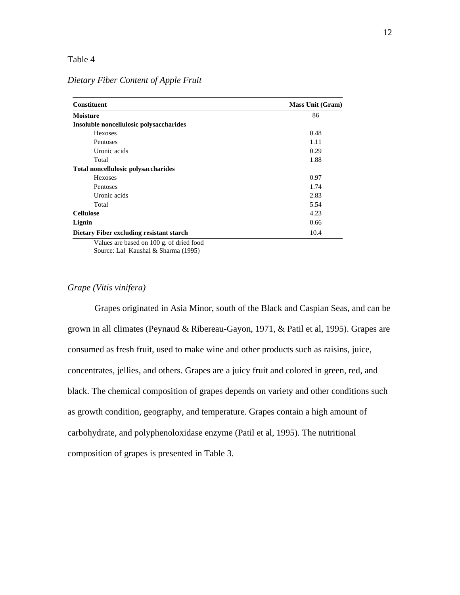## Table 4

| <b>Mass Unit (Gram)</b> |  |  |
|-------------------------|--|--|
| 86                      |  |  |
|                         |  |  |
| 0.48                    |  |  |
| 1.11                    |  |  |
| 0.29                    |  |  |
| 1.88                    |  |  |
|                         |  |  |
| 0.97                    |  |  |
| 1.74                    |  |  |
| 2.83                    |  |  |
| 5.54                    |  |  |
| 4.23                    |  |  |
| 0.66                    |  |  |
| 10.4                    |  |  |
|                         |  |  |

## *Dietary Fiber Content of Apple Fruit*

Values are based on 100 g. of dried food Source: Lal Kaushal & Sharma (1995)

#### *Grape (Vitis vinifera)*

 Grapes originated in Asia Minor, south of the Black and Caspian Seas, and can be grown in all climates (Peynaud & Ribereau-Gayon, 1971, & Patil et al, 1995). Grapes are consumed as fresh fruit, used to make wine and other products such as raisins, juice, concentrates, jellies, and others. Grapes are a juicy fruit and colored in green, red, and black. The chemical composition of grapes depends on variety and other conditions such as growth condition, geography, and temperature. Grapes contain a high amount of carbohydrate, and polyphenoloxidase enzyme (Patil et al, 1995). The nutritional composition of grapes is presented in Table 3.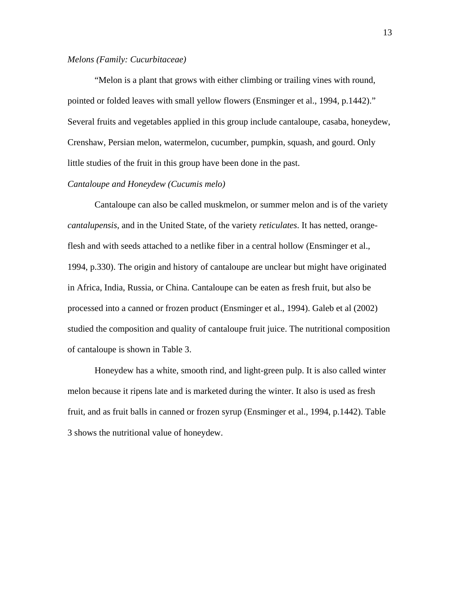## *Melons (Family: Cucurbitaceae)*

 "Melon is a plant that grows with either climbing or trailing vines with round, pointed or folded leaves with small yellow flowers (Ensminger et al., 1994, p.1442)." Several fruits and vegetables applied in this group include cantaloupe, casaba, honeydew, Crenshaw, Persian melon, watermelon, cucumber, pumpkin, squash, and gourd. Only little studies of the fruit in this group have been done in the past.

### *Cantaloupe and Honeydew (Cucumis melo)*

 Cantaloupe can also be called muskmelon, or summer melon and is of the variety *cantalupensis*, and in the United State, of the variety *reticulates*. It has netted, orangeflesh and with seeds attached to a netlike fiber in a central hollow (Ensminger et al., 1994, p.330). The origin and history of cantaloupe are unclear but might have originated in Africa, India, Russia, or China. Cantaloupe can be eaten as fresh fruit, but also be processed into a canned or frozen product (Ensminger et al., 1994). Galeb et al (2002) studied the composition and quality of cantaloupe fruit juice. The nutritional composition of cantaloupe is shown in Table 3.

 Honeydew has a white, smooth rind, and light-green pulp. It is also called winter melon because it ripens late and is marketed during the winter. It also is used as fresh fruit, and as fruit balls in canned or frozen syrup (Ensminger et al., 1994, p.1442). Table 3 shows the nutritional value of honeydew.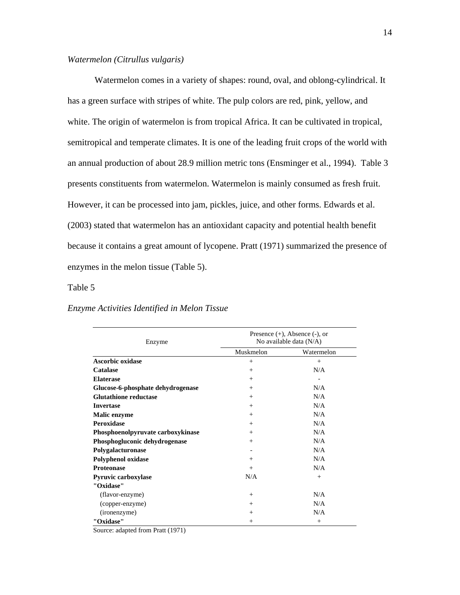### *Watermelon (Citrullus vulgaris)*

 Watermelon comes in a variety of shapes: round, oval, and oblong-cylindrical. It has a green surface with stripes of white. The pulp colors are red, pink, yellow, and white. The origin of watermelon is from tropical Africa. It can be cultivated in tropical, semitropical and temperate climates. It is one of the leading fruit crops of the world with an annual production of about 28.9 million metric tons (Ensminger et al., 1994). Table 3 presents constituents from watermelon. Watermelon is mainly consumed as fresh fruit. However, it can be processed into jam, pickles, juice, and other forms. Edwards et al. (2003) stated that watermelon has an antioxidant capacity and potential health benefit because it contains a great amount of lycopene. Pratt (1971) summarized the presence of enzymes in the melon tissue (Table 5).

#### Table 5

#### *Enzyme Activities Identified in Melon Tissue*

| Enzyme                            | Presence $(+)$ , Absence $(-)$ , or<br>No available data $(N/A)$ |            |  |
|-----------------------------------|------------------------------------------------------------------|------------|--|
|                                   | Muskmelon                                                        | Watermelon |  |
| <b>Ascorbic oxidase</b>           | $+$                                                              | $+$        |  |
| Catalase                          | $+$                                                              | N/A        |  |
| <b>Elaterase</b>                  | $+$                                                              |            |  |
| Glucose-6-phosphate dehydrogenase | $+$                                                              | N/A        |  |
| <b>Glutathione reductase</b>      | $^{+}$                                                           | N/A        |  |
| <b>Invertase</b>                  | $^{+}$                                                           | N/A        |  |
| <b>Malic enzyme</b>               | $+$                                                              | N/A        |  |
| <b>Peroxidase</b>                 | $^{+}$                                                           | N/A        |  |
| Phosphoenolpyruvate carboxykinase | $^{+}$                                                           | N/A        |  |
| Phosphogluconic dehydrogenase     | $^{+}$                                                           | N/A        |  |
| Polygalacturonase                 |                                                                  | N/A        |  |
| <b>Polyphenol oxidase</b>         | $^{+}$                                                           | N/A        |  |
| <b>Proteonase</b>                 | $+$                                                              | N/A        |  |
| <b>Pyruvic carboxylase</b>        | N/A                                                              | $^{+}$     |  |
| "Oxidase"                         |                                                                  |            |  |
| (flavor-enzyme)                   | $+$                                                              | N/A        |  |
| (copper-enzyme)                   | $^{+}$                                                           | N/A        |  |
| (ironenzyme)                      | $^{+}$                                                           | N/A        |  |
| "Oxidase"                         | $^{+}$                                                           | $+$        |  |

Source: adapted from Pratt (1971)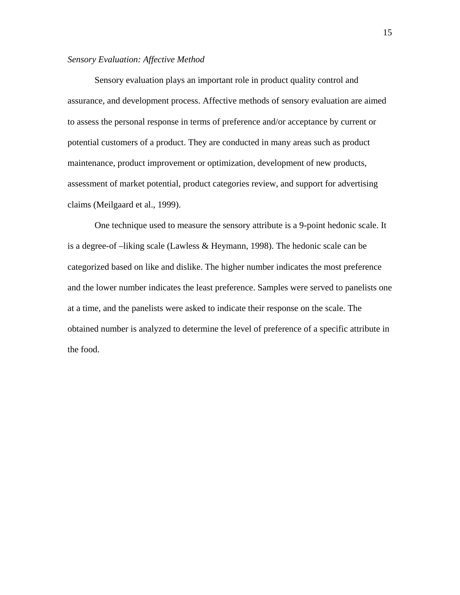#### *Sensory Evaluation: Affective Method*

Sensory evaluation plays an important role in product quality control and assurance, and development process. Affective methods of sensory evaluation are aimed to assess the personal response in terms of preference and/or acceptance by current or potential customers of a product. They are conducted in many areas such as product maintenance, product improvement or optimization, development of new products, assessment of market potential, product categories review, and support for advertising claims (Meilgaard et al., 1999).

 One technique used to measure the sensory attribute is a 9-point hedonic scale. It is a degree-of –liking scale (Lawless & Heymann, 1998). The hedonic scale can be categorized based on like and dislike. The higher number indicates the most preference and the lower number indicates the least preference. Samples were served to panelists one at a time, and the panelists were asked to indicate their response on the scale. The obtained number is analyzed to determine the level of preference of a specific attribute in the food.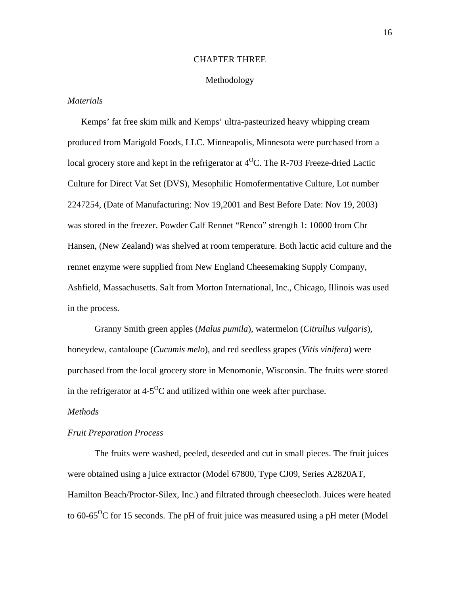#### CHAPTER THREE

#### Methodology

#### *Materials*

Kemps' fat free skim milk and Kemps' ultra-pasteurized heavy whipping cream produced from Marigold Foods, LLC. Minneapolis, Minnesota were purchased from a local grocery store and kept in the refrigerator at  $4^{\circ}$ C. The R-703 Freeze-dried Lactic Culture for Direct Vat Set (DVS), Mesophilic Homofermentative Culture, Lot number 2247254, (Date of Manufacturing: Nov 19,2001 and Best Before Date: Nov 19, 2003) was stored in the freezer. Powder Calf Rennet "Renco" strength 1: 10000 from Chr Hansen, (New Zealand) was shelved at room temperature. Both lactic acid culture and the rennet enzyme were supplied from New England Cheesemaking Supply Company, Ashfield, Massachusetts. Salt from Morton International, Inc., Chicago, Illinois was used in the process.

Granny Smith green apples (*Malus pumila*), watermelon (*Citrullus vulgaris*), honeydew, cantaloupe (*Cucumis melo*), and red seedless grapes (*Vitis vinifera*) were purchased from the local grocery store in Menomonie, Wisconsin. The fruits were stored in the refrigerator at  $4-5^{\circ}C$  and utilized within one week after purchase.

#### *Methods*

#### *Fruit Preparation Process*

The fruits were washed, peeled, deseeded and cut in small pieces. The fruit juices were obtained using a juice extractor (Model 67800, Type CJ09, Series A2820AT, Hamilton Beach/Proctor-Silex, Inc.) and filtrated through cheesecloth. Juices were heated to 60-65<sup>o</sup>C for 15 seconds. The pH of fruit juice was measured using a pH meter (Model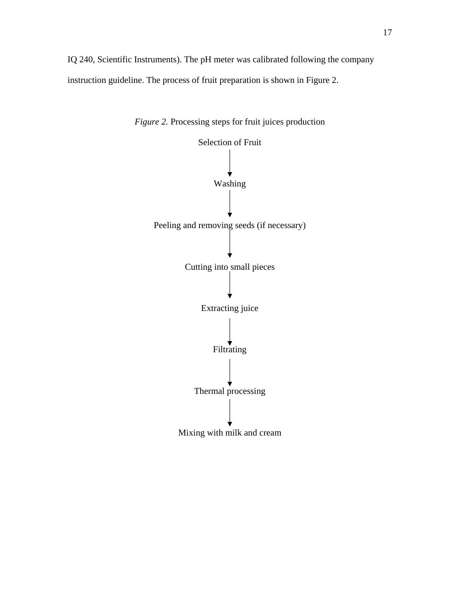IQ 240, Scientific Instruments). The pH meter was calibrated following the company instruction guideline. The process of fruit preparation is shown in Figure 2.



*Figure 2.* Processing steps for fruit juices production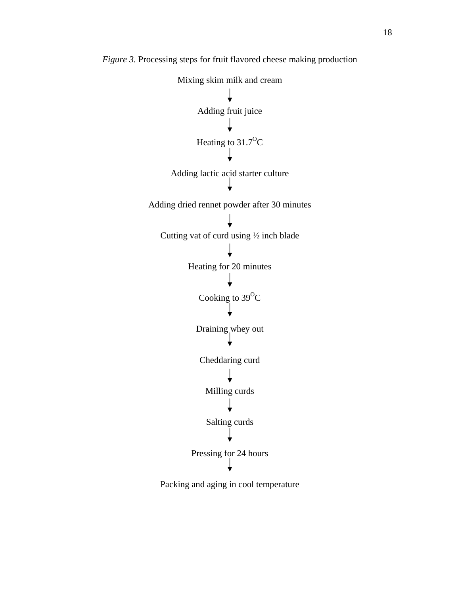

*Figure 3.* Processing steps for fruit flavored cheese making production

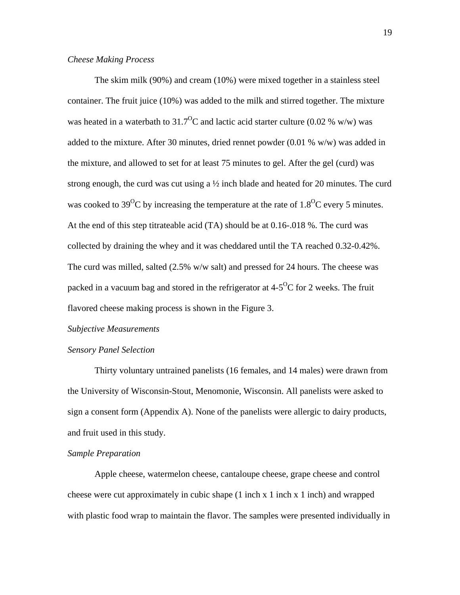### *Cheese Making Process*

The skim milk (90%) and cream (10%) were mixed together in a stainless steel container. The fruit juice (10%) was added to the milk and stirred together. The mixture was heated in a waterbath to  $31.7^{\circ}$ C and lactic acid starter culture (0.02 % w/w) was added to the mixture. After 30 minutes, dried rennet powder (0.01 % w/w) was added in the mixture, and allowed to set for at least 75 minutes to gel. After the gel (curd) was strong enough, the curd was cut using a  $\frac{1}{2}$  inch blade and heated for 20 minutes. The curd was cooked to 39<sup>o</sup>C by increasing the temperature at the rate of  $1.8^{0}$ C every 5 minutes. At the end of this step titrateable acid (TA) should be at 0.16-.018 %. The curd was collected by draining the whey and it was cheddared until the TA reached 0.32-0.42%. The curd was milled, salted (2.5% w/w salt) and pressed for 24 hours. The cheese was packed in a vacuum bag and stored in the refrigerator at  $4-5^{\circ}C$  for 2 weeks. The fruit flavored cheese making process is shown in the Figure 3.

#### *Subjective Measurements*

#### *Sensory Panel Selection*

Thirty voluntary untrained panelists (16 females, and 14 males) were drawn from the University of Wisconsin-Stout, Menomonie, Wisconsin. All panelists were asked to sign a consent form (Appendix A). None of the panelists were allergic to dairy products, and fruit used in this study.

### *Sample Preparation*

Apple cheese, watermelon cheese, cantaloupe cheese, grape cheese and control cheese were cut approximately in cubic shape  $(1 \text{ inch } x \text{ 1 inch } x \text{ 1 inch})$  and wrapped with plastic food wrap to maintain the flavor. The samples were presented individually in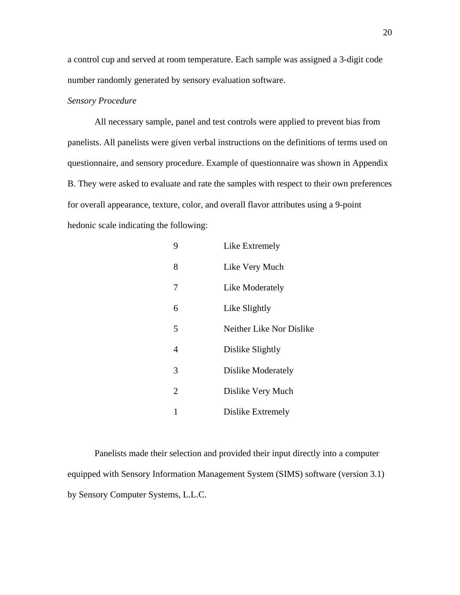a control cup and served at room temperature. Each sample was assigned a 3-digit code number randomly generated by sensory evaluation software.

### *Sensory Procedure*

All necessary sample, panel and test controls were applied to prevent bias from panelists. All panelists were given verbal instructions on the definitions of terms used on questionnaire, and sensory procedure. Example of questionnaire was shown in Appendix B. They were asked to evaluate and rate the samples with respect to their own preferences for overall appearance, texture, color, and overall flavor attributes using a 9-point hedonic scale indicating the following:

| 9              | Like Extremely           |
|----------------|--------------------------|
| 8              | Like Very Much           |
| 7              | Like Moderately          |
| 6              | Like Slightly            |
| 5              | Neither Like Nor Dislike |
| 4              | Dislike Slightly         |
| 3              | Dislike Moderately       |
| $\overline{2}$ | Dislike Very Much        |
| 1              | Dislike Extremely        |

Panelists made their selection and provided their input directly into a computer equipped with Sensory Information Management System (SIMS) software (version 3.1) by Sensory Computer Systems, L.L.C.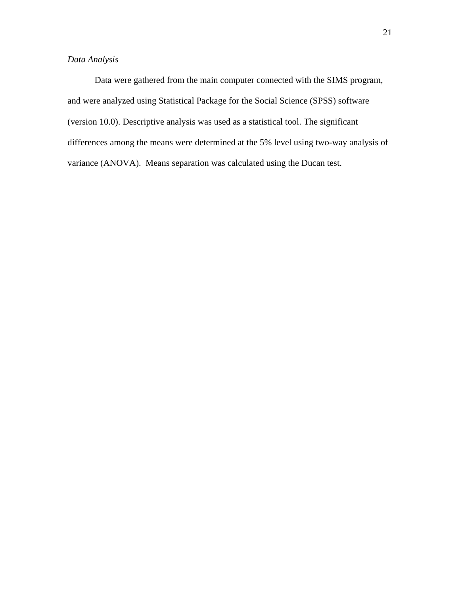# *Data Analysis*

Data were gathered from the main computer connected with the SIMS program, and were analyzed using Statistical Package for the Social Science (SPSS) software (version 10.0). Descriptive analysis was used as a statistical tool. The significant differences among the means were determined at the 5% level using two-way analysis of variance (ANOVA). Means separation was calculated using the Ducan test.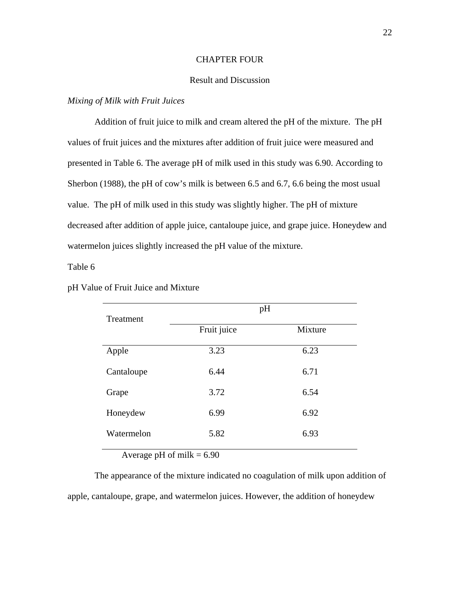#### CHAPTER FOUR

## Result and Discussion

#### *Mixing of Milk with Fruit Juices*

Addition of fruit juice to milk and cream altered the pH of the mixture. The pH values of fruit juices and the mixtures after addition of fruit juice were measured and presented in Table 6. The average pH of milk used in this study was 6.90. According to Sherbon (1988), the pH of cow's milk is between 6.5 and 6.7, 6.6 being the most usual value. The pH of milk used in this study was slightly higher. The pH of mixture decreased after addition of apple juice, cantaloupe juice, and grape juice. Honeydew and watermelon juices slightly increased the pH value of the mixture.

Table 6

| Treatment  |             | pH      |  |
|------------|-------------|---------|--|
|            | Fruit juice | Mixture |  |
| Apple      | 3.23        | 6.23    |  |
| Cantaloupe | 6.44        | 6.71    |  |
| Grape      | 3.72        | 6.54    |  |
| Honeydew   | 6.99        | 6.92    |  |
| Watermelon | 5.82        | 6.93    |  |
|            |             |         |  |

#### pH Value of Fruit Juice and Mixture

Average pH of milk  $= 6.90$ 

The appearance of the mixture indicated no coagulation of milk upon addition of apple, cantaloupe, grape, and watermelon juices. However, the addition of honeydew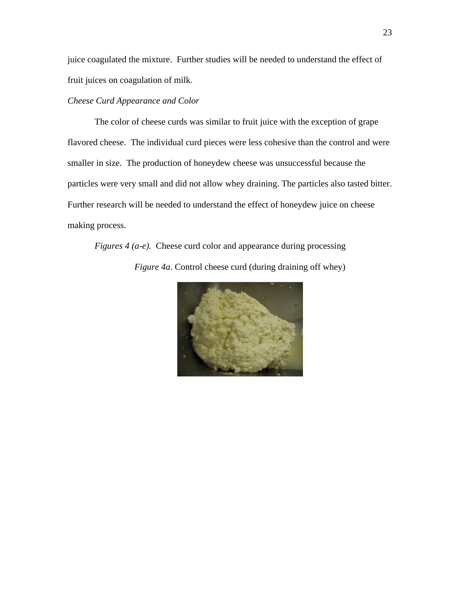juice coagulated the mixture. Further studies will be needed to understand the effect of fruit juices on coagulation of milk.

## *Cheese Curd Appearance and Color*

The color of cheese curds was similar to fruit juice with the exception of grape flavored cheese. The individual curd pieces were less cohesive than the control and were smaller in size. The production of honeydew cheese was unsuccessful because the particles were very small and did not allow whey draining. The particles also tasted bitter. Further research will be needed to understand the effect of honeydew juice on cheese making process.

*Figures 4 (a-e).* Cheese curd color and appearance during processing *Figure 4a*. Control cheese curd (during draining off whey)

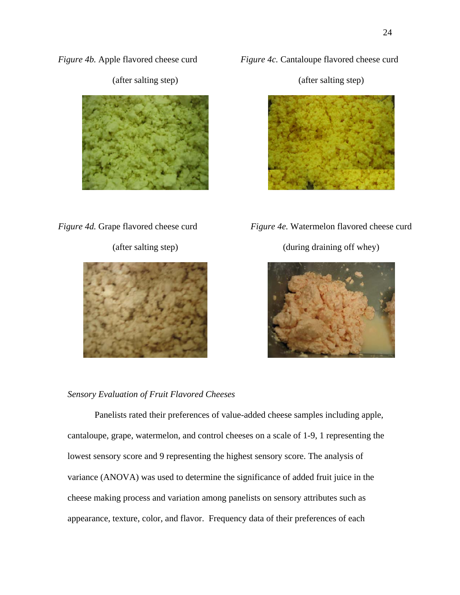*Figure 4b.* Apple flavored cheese curd



(after salting step)

*Figure 4c.* Cantaloupe flavored cheese curd

(after salting step)



*Figure 4d.* Grape flavored cheese curd

(after salting step)



*Figure 4e.* Watermelon flavored cheese curd

(during draining off whey)



## *Sensory Evaluation of Fruit Flavored Cheeses*

Panelists rated their preferences of value-added cheese samples including apple, cantaloupe, grape, watermelon, and control cheeses on a scale of 1-9, 1 representing the lowest sensory score and 9 representing the highest sensory score. The analysis of variance (ANOVA) was used to determine the significance of added fruit juice in the cheese making process and variation among panelists on sensory attributes such as appearance, texture, color, and flavor. Frequency data of their preferences of each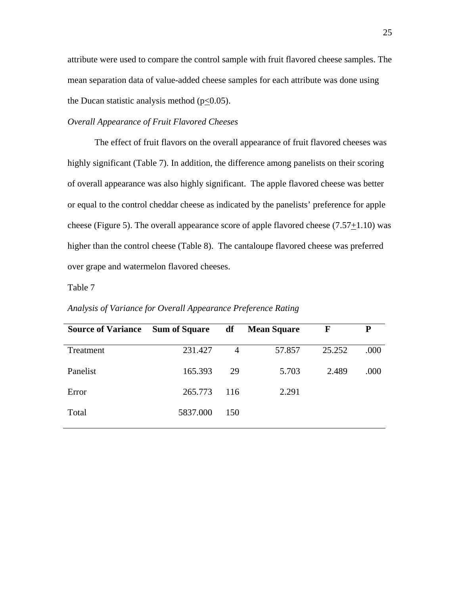attribute were used to compare the control sample with fruit flavored cheese samples. The mean separation data of value-added cheese samples for each attribute was done using the Ducan statistic analysis method  $(p<0.05)$ .

#### *Overall Appearance of Fruit Flavored Cheeses*

The effect of fruit flavors on the overall appearance of fruit flavored cheeses was highly significant (Table 7). In addition, the difference among panelists on their scoring of overall appearance was also highly significant. The apple flavored cheese was better or equal to the control cheddar cheese as indicated by the panelists' preference for apple cheese (Figure 5). The overall appearance score of apple flavored cheese  $(7.57+1.10)$  was higher than the control cheese (Table 8). The cantaloupe flavored cheese was preferred over grape and watermelon flavored cheeses.

Table 7

| <b>Source of Variance</b> | <b>Sum of Square</b> | df             | <b>Mean Square</b> | F      | P    |
|---------------------------|----------------------|----------------|--------------------|--------|------|
| Treatment                 | 231.427              | $\overline{4}$ | 57.857             | 25.252 | .000 |
| Panelist                  | 165.393              | 29             | 5.703              | 2.489  | .000 |
| Error                     | 265.773              | 116            | 2.291              |        |      |
| Total                     | 5837.000             | 150            |                    |        |      |

*Analysis of Variance for Overall Appearance Preference Rating*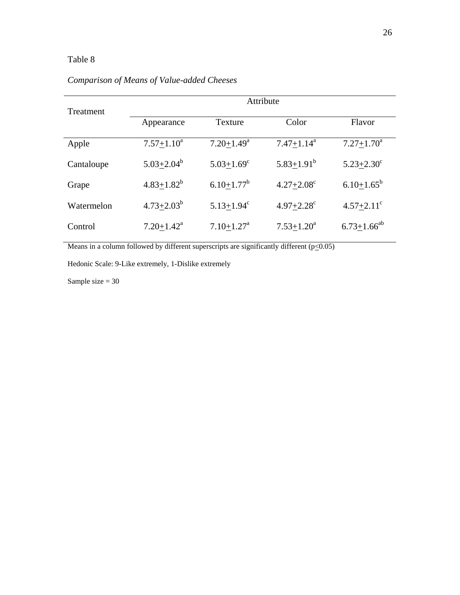# Table 8

| Treatment  | Attribute         |                            |                            |                            |  |
|------------|-------------------|----------------------------|----------------------------|----------------------------|--|
|            | Appearance        | Texture                    | Color                      | Flavor                     |  |
| Apple      | $7.57 \pm 1.10^a$ | $7.20 + 1.49^a$            | $7.47 \pm 1.14^a$          | $7.27 + 1.70^a$            |  |
| Cantaloupe | $5.03 + 2.04^b$   | $5.03 + 1.69$ <sup>c</sup> | $5.83 \pm 1.91^b$          | $5.23 + 2.30^{\circ}$      |  |
| Grape      | $4.83 \pm 1.82^b$ | $6.10 + 1.77^b$            | $4.27 + 2.08^c$            | $6.10+1.65^b$              |  |
| Watermelon | $4.73 + 2.03^b$   | $5.13 + 1.94^c$            | $4.97 + 2.28$ <sup>c</sup> | $4.57 + 2.11$ <sup>c</sup> |  |
| Control    | $7.20 + 1.42^a$   | $7.10 + 1.27$ <sup>a</sup> | $7.53 + 1.20^a$            | $6.73 + 1.66^{ab}$         |  |

# *Comparison of Means of Value-added Cheeses*

Means in a column followed by different superscripts are significantly different  $(p \le 0.05)$ 

Hedonic Scale: 9-Like extremely, 1-Dislike extremely

Sample size  $= 30$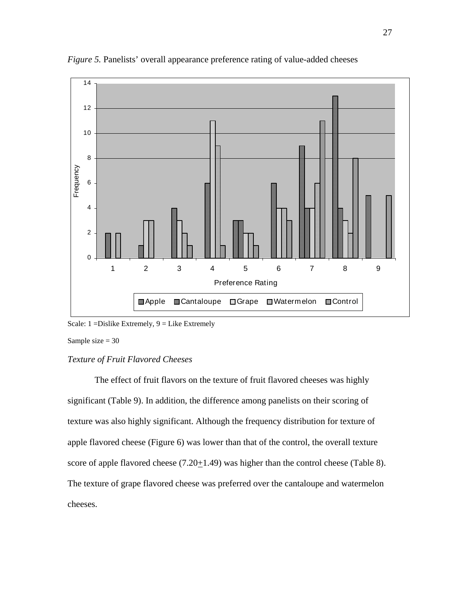

*Figure 5.* Panelists' overall appearance preference rating of value-added cheeses

Sample size  $= 30$ 

## *Texture of Fruit Flavored Cheeses*

The effect of fruit flavors on the texture of fruit flavored cheeses was highly significant (Table 9). In addition, the difference among panelists on their scoring of texture was also highly significant. Although the frequency distribution for texture of apple flavored cheese (Figure 6) was lower than that of the control, the overall texture score of apple flavored cheese  $(7.20 \pm 1.49)$  was higher than the control cheese (Table 8). The texture of grape flavored cheese was preferred over the cantaloupe and watermelon cheeses.

Scale:  $1 = Distike$  Extremely,  $9 = Like$  Extremely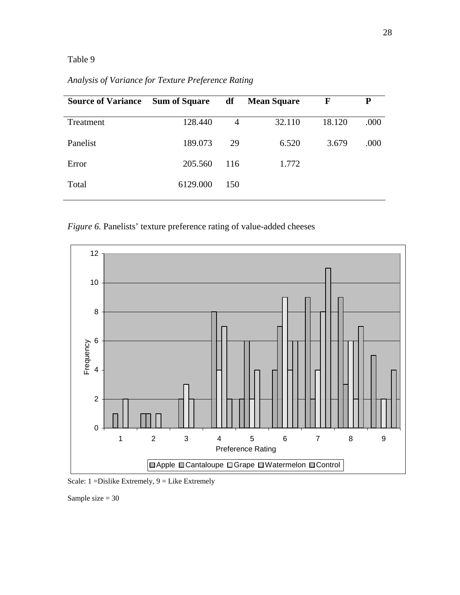# Table 9

*Analysis of Variance for Texture Preference Rating* 

| <b>Source of Variance</b> | <b>Sum of Square</b> | df             | <b>Mean Square</b> | $\mathbf{F}$ | P    |
|---------------------------|----------------------|----------------|--------------------|--------------|------|
| Treatment                 | 128.440              | $\overline{4}$ | 32.110             | 18.120       | .000 |
| Panelist                  | 189.073              | 29             | 6.520              | 3.679        | .000 |
| Error                     | 205.560              | 116            | 1.772              |              |      |
| Total                     | 6129.000             | 150            |                    |              |      |
|                           |                      |                |                    |              |      |

*Figure 6.* Panelists' texture preference rating of value-added cheeses



Scale: 1 =Dislike Extremely, 9 = Like Extremely

Sample size = 30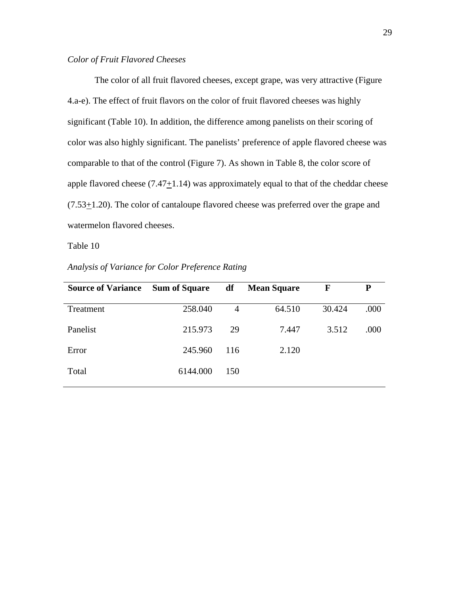## *Color of Fruit Flavored Cheeses*

The color of all fruit flavored cheeses, except grape, was very attractive (Figure 4.a-e). The effect of fruit flavors on the color of fruit flavored cheeses was highly significant (Table 10). In addition, the difference among panelists on their scoring of color was also highly significant. The panelists' preference of apple flavored cheese was comparable to that of the control (Figure 7). As shown in Table 8, the color score of apple flavored cheese  $(7.47 \pm 1.14)$  was approximately equal to that of the cheddar cheese  $(7.53<sub>\pm</sub>1.20)$ . The color of cantaloupe flavored cheese was preferred over the grape and watermelon flavored cheeses.

Table 10

| <b>Source of Variance</b> | <b>Sum of Square</b> | df  | <b>Mean Square</b> | F      | P    |
|---------------------------|----------------------|-----|--------------------|--------|------|
| Treatment                 | 258.040              | 4   | 64.510             | 30.424 | .000 |
| Panelist                  | 215.973              | 29  | 7.447              | 3.512  | .000 |
| Error                     | 245.960              | 116 | 2.120              |        |      |
| Total                     | 6144.000             | 150 |                    |        |      |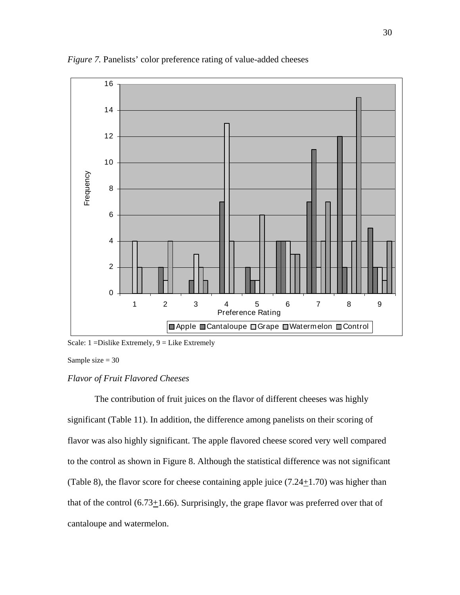

*Figure 7.* Panelists' color preference rating of value-added cheeses

Sample size  $= 30$ 

#### *Flavor of Fruit Flavored Cheeses*

The contribution of fruit juices on the flavor of different cheeses was highly significant (Table 11). In addition, the difference among panelists on their scoring of flavor was also highly significant. The apple flavored cheese scored very well compared to the control as shown in Figure 8. Although the statistical difference was not significant (Table 8), the flavor score for cheese containing apple juice  $(7.24 \pm 1.70)$  was higher than that of the control  $(6.73+1.66)$ . Surprisingly, the grape flavor was preferred over that of cantaloupe and watermelon.

Scale: 1 =Dislike Extremely, 9 = Like Extremely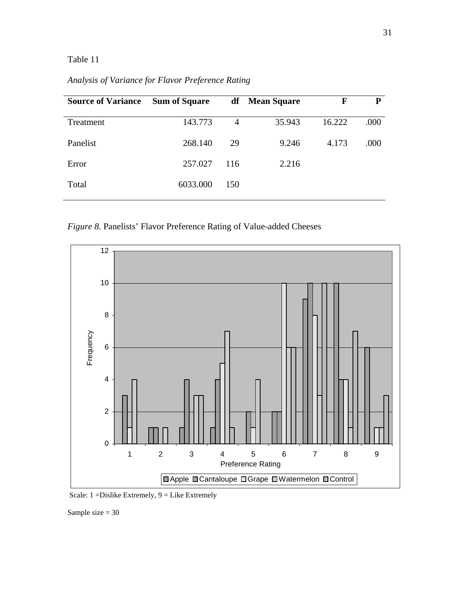# Table 11

*Analysis of Variance for Flavor Preference Rating* 

| <b>Source of Variance</b> | <b>Sum of Square</b> |     | df Mean Square | F      | P    |
|---------------------------|----------------------|-----|----------------|--------|------|
| Treatment                 | 143.773              | 4   | 35.943         | 16.222 | .000 |
| Panelist                  | 268.140              | 29  | 9.246          | 4.173  | .000 |
| Error                     | 257.027              | 116 | 2.216          |        |      |
| Total                     | 6033.000             | 150 |                |        |      |
|                           |                      |     |                |        |      |

*Figure 8.* Panelists' Flavor Preference Rating of Value-added Cheeses



Scale: 1 =Dislike Extremely, 9 = Like Extremely

Sample size = 30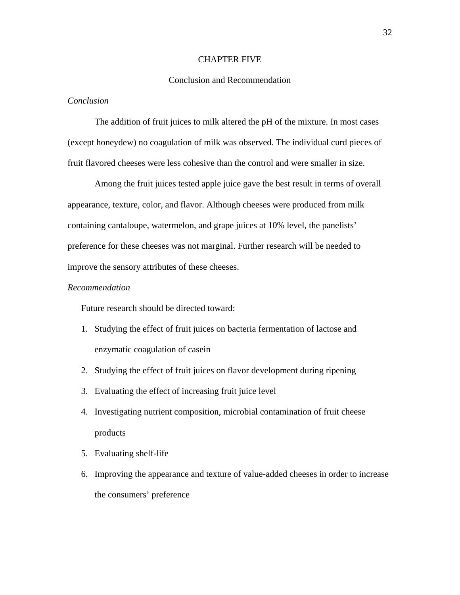#### CHAPTER FIVE

#### Conclusion and Recommendation

## *Conclusion*

The addition of fruit juices to milk altered the pH of the mixture. In most cases (except honeydew) no coagulation of milk was observed. The individual curd pieces of fruit flavored cheeses were less cohesive than the control and were smaller in size.

Among the fruit juices tested apple juice gave the best result in terms of overall appearance, texture, color, and flavor. Although cheeses were produced from milk containing cantaloupe, watermelon, and grape juices at 10% level, the panelists' preference for these cheeses was not marginal. Further research will be needed to improve the sensory attributes of these cheeses.

#### *Recommendation*

Future research should be directed toward:

- 1. Studying the effect of fruit juices on bacteria fermentation of lactose and enzymatic coagulation of casein
- 2. Studying the effect of fruit juices on flavor development during ripening
- 3. Evaluating the effect of increasing fruit juice level
- 4. Investigating nutrient composition, microbial contamination of fruit cheese products
- 5. Evaluating shelf-life
- 6. Improving the appearance and texture of value-added cheeses in order to increase the consumers' preference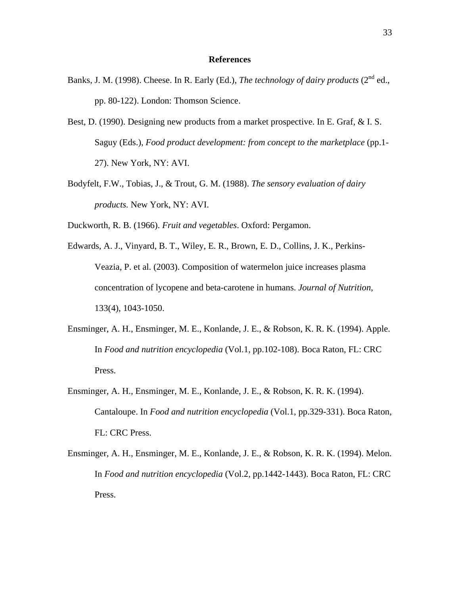#### **References**

- Banks, J. M. (1998). Cheese. In R. Early (Ed.), *The technology of dairy products* (2<sup>nd</sup> ed., pp. 80-122). London: Thomson Science.
- Best, D. (1990). Designing new products from a market prospective. In E. Graf, & I. S. Saguy (Eds.), *Food product development: from concept to the marketplace* (pp.1- 27). New York, NY: AVI.
- Bodyfelt, F.W., Tobias, J., & Trout, G. M. (1988). *The sensory evaluation of dairy products.* New York, NY: AVI.

Duckworth, R. B. (1966). *Fruit and vegetables*. Oxford: Pergamon.

- Edwards, A. J., Vinyard, B. T., Wiley, E. R., Brown, E. D., Collins, J. K., Perkins- Veazia, P. et al. (2003). Composition of watermelon juice increases plasma concentration of lycopene and beta-carotene in humans. *Journal of Nutrition*, 133(4), 1043-1050.
- Ensminger, A. H., Ensminger, M. E., Konlande, J. E., & Robson, K. R. K. (1994). Apple. In *Food and nutrition encyclopedia* (Vol.1, pp.102-108). Boca Raton, FL: CRC Press.
- Ensminger, A. H., Ensminger, M. E., Konlande, J. E., & Robson, K. R. K. (1994). Cantaloupe. In *Food and nutrition encyclopedia* (Vol.1, pp.329-331). Boca Raton, FL: CRC Press.
- Ensminger, A. H., Ensminger, M. E., Konlande, J. E., & Robson, K. R. K. (1994). Melon. In *Food and nutrition encyclopedia* (Vol.2, pp.1442-1443). Boca Raton, FL: CRC Press.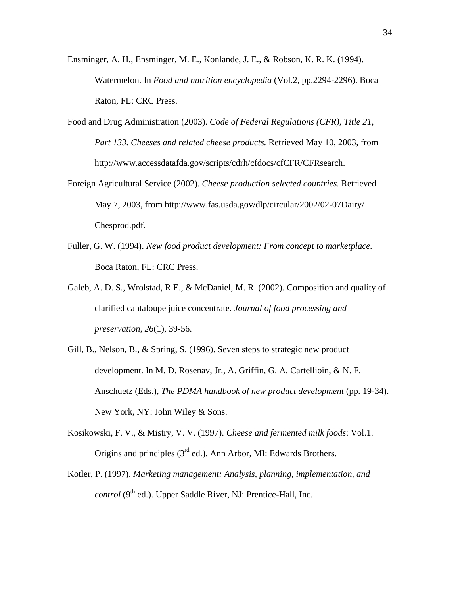- Ensminger, A. H., Ensminger, M. E., Konlande, J. E., & Robson, K. R. K. (1994). Watermelon. In *Food and nutrition encyclopedia* (Vol.2, pp.2294-2296). Boca Raton, FL: CRC Press.
- Food and Drug Administration (2003). *Code of Federal Regulations (CFR), Title 21, Part 133. Cheeses and related cheese products.* Retrieved May 10, 2003, from http://www.accessdatafda.gov/scripts/cdrh/cfdocs/cfCFR/CFRsearch.
- Foreign Agricultural Service (2002). *Cheese production selected countries*. Retrieved May 7, 2003, from http://www.fas.usda.gov/dlp/circular/2002/02-07Dairy/ Chesprod.pdf.
- Fuller, G. W. (1994). *New food product development: From concept to marketplace.*  Boca Raton, FL: CRC Press.
- Galeb, A. D. S., Wrolstad, R E., & McDaniel, M. R. (2002). Composition and quality of clarified cantaloupe juice concentrate. *Journal of food processing and preservation*, *26*(1), 39-56.
- Gill, B., Nelson, B., & Spring, S. (1996). Seven steps to strategic new product development. In M. D. Rosenav, Jr., A. Griffin, G. A. Cartellioin, & N. F. Anschuetz (Eds.), *The PDMA handbook of new product development* (pp. 19-34). New York, NY: John Wiley & Sons.
- Kosikowski, F. V., & Mistry, V. V. (1997). *Cheese and fermented milk foods*: Vol.1. Origins and principles (3rd ed.). Ann Arbor, MI: Edwards Brothers.
- Kotler, P. (1997). *Marketing management: Analysis, planning, implementation, and control* (9<sup>th</sup> ed.). Upper Saddle River, NJ: Prentice-Hall, Inc.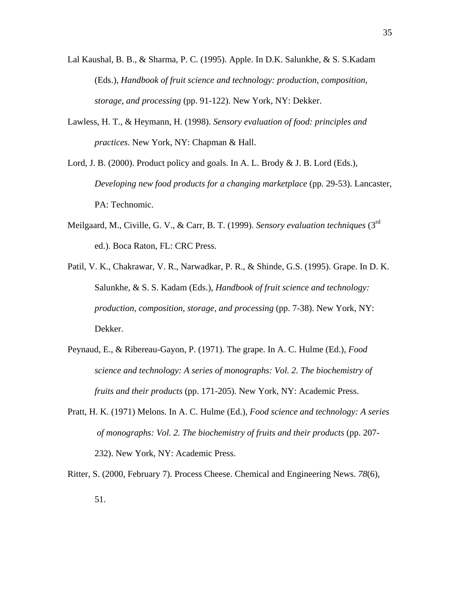- Lal Kaushal, B. B., & Sharma, P. C. (1995). Apple. In D.K. Salunkhe, & S. S.Kadam (Eds.), *Handbook of fruit science and technology: production, composition, storage, and processing* (pp. 91-122). New York, NY: Dekker.
- Lawless, H. T., & Heymann, H. (1998). *Sensory evaluation of food: principles and practices*. New York, NY: Chapman & Hall.
- Lord, J. B. (2000). Product policy and goals. In A. L. Brody & J. B. Lord (Eds.), *Developing new food products for a changing marketplace* (pp. 29-53). Lancaster, PA: Technomic.
- Meilgaard, M., Civille, G. V., & Carr, B. T. (1999). *Sensory evaluation techniques* (3rd ed.). Boca Raton, FL: CRC Press.
- Patil, V. K., Chakrawar, V. R., Narwadkar, P. R., & Shinde, G.S. (1995). Grape. In D. K. Salunkhe, & S. S. Kadam (Eds.), *Handbook of fruit science and technology: production, composition, storage, and processing* (pp. 7-38). New York, NY: Dekker.
- Peynaud, E., & Ribereau-Gayon, P. (1971). The grape. In A. C. Hulme (Ed.), *Food science and technology: A series of monographs: Vol. 2. The biochemistry of fruits and their products* (pp. 171-205). New York, NY: Academic Press.
- Pratt, H. K. (1971) Melons. In A. C. Hulme (Ed.), *Food science and technology: A series of monographs: Vol. 2. The biochemistry of fruits and their products* (pp. 207- 232). New York, NY: Academic Press.
- Ritter, S. (2000, February 7). Process Cheese. Chemical and Engineering News. *78*(6), 51.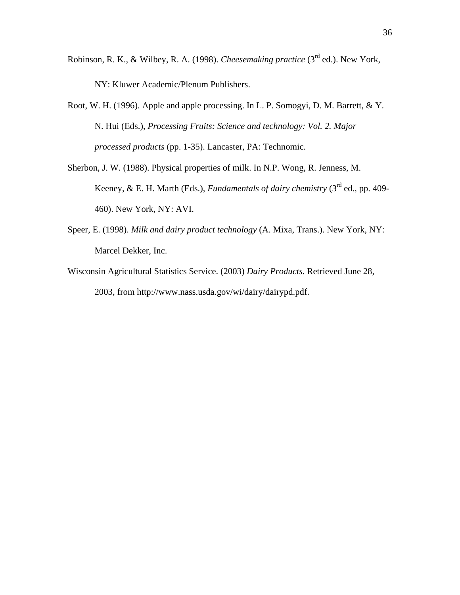Robinson, R. K., & Wilbey, R. A. (1998). *Cheesemaking practice* (3rd ed.). New York, NY: Kluwer Academic/Plenum Publishers.

Root, W. H. (1996). Apple and apple processing. In L. P. Somogyi, D. M. Barrett, & Y. N. Hui (Eds.), *Processing Fruits: Science and technology: Vol. 2. Major processed products* (pp. 1-35). Lancaster, PA: Technomic.

- Sherbon, J. W. (1988). Physical properties of milk. In N.P. Wong, R. Jenness, M. Keeney, & E. H. Marth (Eds.), *Fundamentals of dairy chemistry* (3<sup>rd</sup> ed., pp. 409-460). New York, NY: AVI.
- Speer, E. (1998). *Milk and dairy product technology* (A. Mixa, Trans.). New York, NY: Marcel Dekker, Inc.
- Wisconsin Agricultural Statistics Service. (2003) *Dairy Products.* Retrieved June 28, 2003, from http://www.nass.usda.gov/wi/dairy/dairypd.pdf.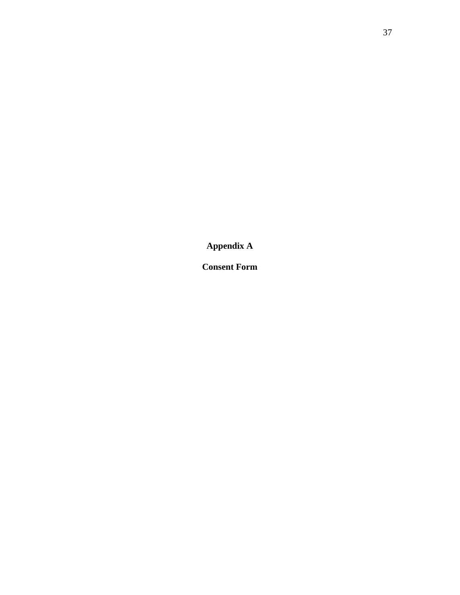**Appendix A** 

**Consent Form**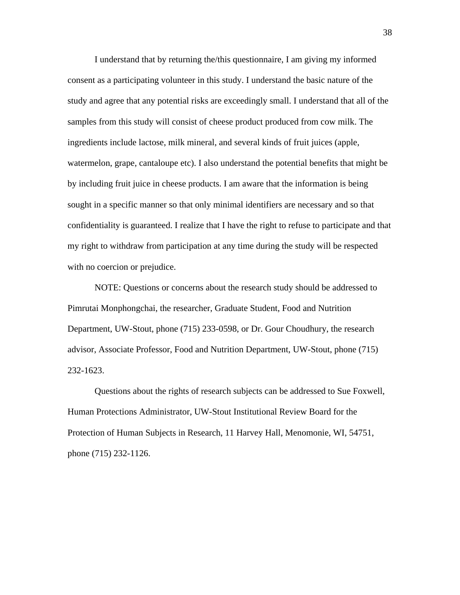I understand that by returning the/this questionnaire, I am giving my informed consent as a participating volunteer in this study. I understand the basic nature of the study and agree that any potential risks are exceedingly small. I understand that all of the samples from this study will consist of cheese product produced from cow milk. The ingredients include lactose, milk mineral, and several kinds of fruit juices (apple, watermelon, grape, cantaloupe etc). I also understand the potential benefits that might be by including fruit juice in cheese products. I am aware that the information is being sought in a specific manner so that only minimal identifiers are necessary and so that confidentiality is guaranteed. I realize that I have the right to refuse to participate and that my right to withdraw from participation at any time during the study will be respected with no coercion or prejudice.

 NOTE: Questions or concerns about the research study should be addressed to Pimrutai Monphongchai, the researcher, Graduate Student, Food and Nutrition Department, UW-Stout, phone (715) 233-0598, or Dr. Gour Choudhury, the research advisor, Associate Professor, Food and Nutrition Department, UW-Stout, phone (715) 232-1623.

 Questions about the rights of research subjects can be addressed to Sue Foxwell, Human Protections Administrator, UW-Stout Institutional Review Board for the Protection of Human Subjects in Research, 11 Harvey Hall, Menomonie, WI, 54751, phone (715) 232-1126.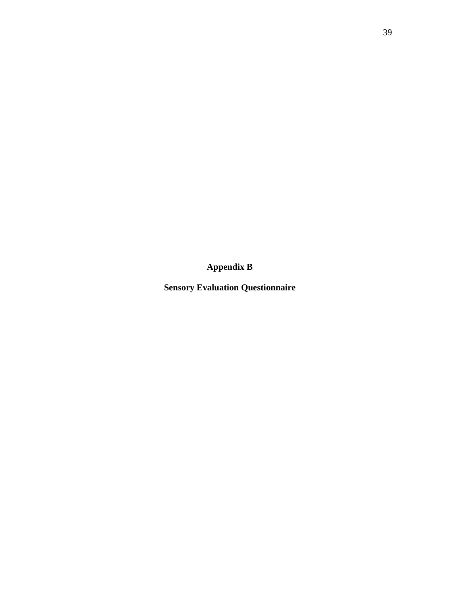**Appendix B** 

**Sensory Evaluation Questionnaire**